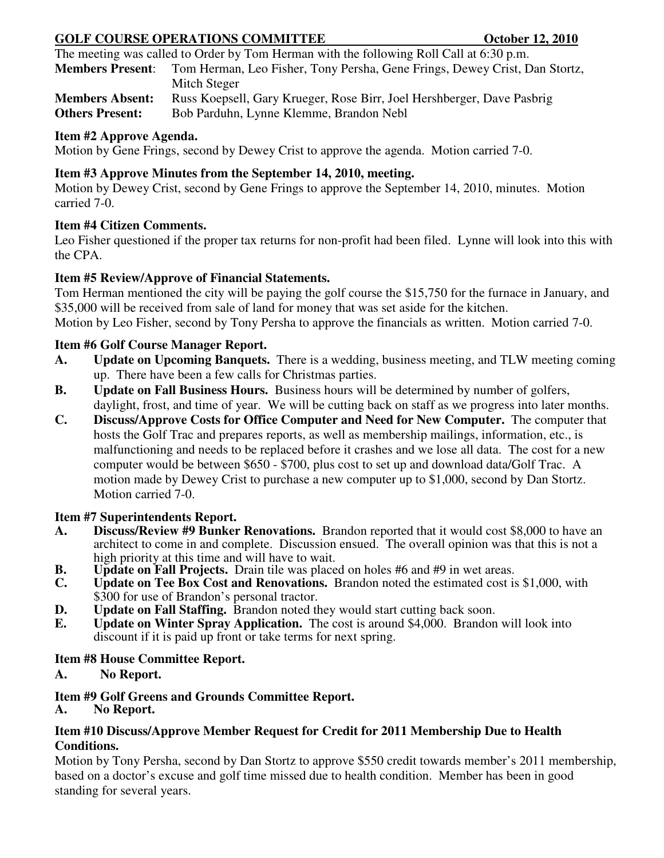# **GOLF COURSE OPERATIONS COMMITTEE COURSE OCTOBER 12, 2010**

The meeting was called to Order by Tom Herman with the following Roll Call at 6:30 p.m.

**Members Present**: Tom Herman, Leo Fisher, Tony Persha, Gene Frings, Dewey Crist, Dan Stortz, Mitch Steger

**Members Absent:** Russ Koepsell, Gary Krueger, Rose Birr, Joel Hershberger, Dave Pasbrig **Others Present:** Bob Parduhn, Lynne Klemme, Brandon Nebl **Others Present:** 

## **Item #2 Approve Agenda.**

Motion by Gene Frings, second by Dewey Crist to approve the agenda. Motion carried 7-0. Î

## **Item #3 Approve Minutes from the September 14, 2010, meeting.**

Motion by Dewey Crist, second by Gene Frings to approve the September 14, 2010, minutes. Motion carried 7-0. Ī

## **Item #4 Citizen Comments.**

Leo Fisher questioned if the proper tax returns for non-profit had been filed. Lynne will look into this with the CPA. Ì

## **Item #5 Review/Approve of Financial Statements.**

Tom Herman mentioned the city will be paying the golf course the \$15,750 for the furnace in January, and \$35,000 will be received from sale of land for money that was set aside for the kitchen. Motion by Leo Fisher, second by Tony Persha to approve the financials as written. Motion carried 7-0. <sup>\*</sup>

## **Item #6 Golf Course Manager Report.**

- **A. Update on Upcoming Banquets.** There is a wedding, business meeting, and TLW meeting coming up. There have been a few calls for Christmas parties.
- **B. Update on Fall Business Hours.** Business hours will be determined by number of golfers, daylight, frost, and time of year. We will be cutting back on staff as we progress into later months.
- **C. Discuss/Approve Costs for Office Computer and Need for New Computer.** The computer that hosts the Golf Trac and prepares reports, as well as membership mailings, information, etc., is malfunctioning and needs to be replaced before it crashes and we lose all data. The cost for a new computer would be between \$650 - \$700, plus cost to set up and download data/Golf Trac. A motion made by Dewey Crist to purchase a new computer up to \$1,000, second by Dan Stortz. Motion carried 7-0.

#### **Item #7 Superintendents Report.**

- **A. Discuss/Review #9 Bunker Renovations.** Brandon reported that it would cost \$8,000 to have an architect to come in and complete. Discussion ensued. The overall opinion was that this is not a high priority at this time and will have to wait.
- **B.** Update on Fall Projects. Drain tile was placed on holes #6 and #9 in wet areas.<br>C. Update on Tee Box Cost and Renovations. Brandon noted the estimated cost is
- **C. Update on Tee Box Cost and Renovations.** Brandon noted the estimated cost is \$1,000, with \$300 for use of Brandon's personal tractor.
- **D. Update on Fall Staffing.** Brandon noted they would start cutting back soon.
- **E. Update on Winter Spray Application.** The cost is around \$4,000. Brandon will look into discount if it is paid up front or take terms for next spring.

#### **Item #8 House Committee Report.**

# **A. No Report.**

# **Item #9 Golf Greens and Grounds Committee Report.**

**A. No Report.**

#### **Item #10 Discuss/Approve Member Request for Credit for 2011 Membership Due to Health Conditions.**

Motion by Tony Persha, second by Dan Stortz to approve \$550 credit towards member's 2011 membership, based on a doctor's excuse and golf time missed due to health condition. Member has been in good standing for several years.